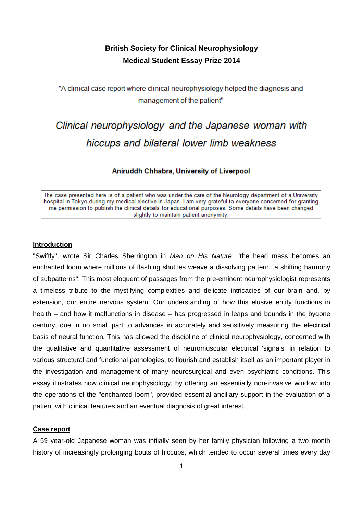## **British Society for Clinical Neurophysiology Medical Student Essay Prize 2014**

"A clinical case report where clinical neurophysiology helped the diagnosis and management of the patient"

# Clinical neurophysiology and the Japanese woman with hiccups and bilateral lower limb weakness

### Aniruddh Chhabra, University of Liverpool

The case presented here is of a patient who was under the care of the Neurology department of a University hospital in Tokyo during my medical elective in Japan. I am very grateful to everyone concerned for granting me permission to publish the clinical details for educational purposes. Some details have been changed slightly to maintain patient anonymity.

#### **Introduction**

"Swiftly", wrote Sir Charles Sherrington in Man on His Nature, "the head mass becomes an enchanted loom where millions of flashing shuttles weave a dissolving pattern...a shifting harmony of subpatterns". This most eloquent of passages from the pre-eminent neurophysiologist represents a timeless tribute to the mystifying complexities and delicate intricacies of our brain and, by extension, our entire nervous system. Our understanding of how this elusive entity functions in health – and how it malfunctions in disease – has progressed in leaps and bounds in the bygone century, due in no small part to advances in accurately and sensitively measuring the electrical basis of neural function. This has allowed the discipline of clinical neurophysiology, concerned with the qualitative and quantitative assessment of neuromuscular electrical 'signals' in relation to various structural and functional pathologies, to flourish and establish itself as an important player in the investigation and management of many neurosurgical and even psychiatric conditions. This essay illustrates how clinical neurophysiology, by offering an essentially non-invasive window into the operations of the "enchanted loom", provided essential ancillary support in the evaluation of a patient with clinical features and an eventual diagnosis of great interest.

#### **Case report**

A 59 year-old Japanese woman was initially seen by her family physician following a two month history of increasingly prolonging bouts of hiccups, which tended to occur several times every day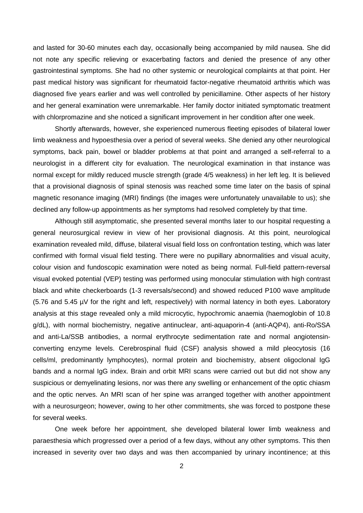and lasted for 30-60 minutes each day, occasionally being accompanied by mild nausea. She did not note any specific relieving or exacerbating factors and denied the presence of any other gastrointestinal symptoms. She had no other systemic or neurological complaints at that point. Her past medical history was significant for rheumatoid factor-negative rheumatoid arthritis which was diagnosed five years earlier and was well controlled by penicillamine. Other aspects of her history and her general examination were unremarkable. Her family doctor initiated symptomatic treatment with chlorpromazine and she noticed a significant improvement in her condition after one week.

 Shortly afterwards, however, she experienced numerous fleeting episodes of bilateral lower limb weakness and hypoesthesia over a period of several weeks. She denied any other neurological symptoms, back pain, bowel or bladder problems at that point and arranged a self-referral to a neurologist in a different city for evaluation. The neurological examination in that instance was normal except for mildly reduced muscle strength (grade 4/5 weakness) in her left leg. It is believed that a provisional diagnosis of spinal stenosis was reached some time later on the basis of spinal magnetic resonance imaging (MRI) findings (the images were unfortunately unavailable to us); she declined any follow-up appointments as her symptoms had resolved completely by that time.

 Although still asymptomatic, she presented several months later to our hospital requesting a general neurosurgical review in view of her provisional diagnosis. At this point, neurological examination revealed mild, diffuse, bilateral visual field loss on confrontation testing, which was later confirmed with formal visual field testing. There were no pupillary abnormalities and visual acuity, colour vision and fundoscopic examination were noted as being normal. Full-field pattern-reversal visual evoked potential (VEP) testing was performed using monocular stimulation with high contrast black and white checkerboards (1-3 reversals/second) and showed reduced P100 wave amplitude (5.76 and 5.45 µV for the right and left, respectively) with normal latency in both eyes. Laboratory analysis at this stage revealed only a mild microcytic, hypochromic anaemia (haemoglobin of 10.8 g/dL), with normal biochemistry, negative antinuclear, anti-aquaporin-4 (anti-AQP4), anti-Ro/SSA and anti-La/SSB antibodies, a normal erythrocyte sedimentation rate and normal angiotensinconverting enzyme levels. Cerebrospinal fluid (CSF) analysis showed a mild pleocytosis (16 cells/ml, predominantly lymphocytes), normal protein and biochemistry, absent oligoclonal IgG bands and a normal IgG index. Brain and orbit MRI scans were carried out but did not show any suspicious or demyelinating lesions, nor was there any swelling or enhancement of the optic chiasm and the optic nerves. An MRI scan of her spine was arranged together with another appointment with a neurosurgeon; however, owing to her other commitments, she was forced to postpone these for several weeks.

 One week before her appointment, she developed bilateral lower limb weakness and paraesthesia which progressed over a period of a few days, without any other symptoms. This then increased in severity over two days and was then accompanied by urinary incontinence; at this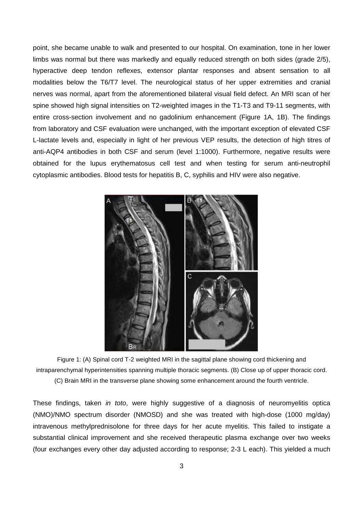point, she became unable to walk and presented to our hospital. On examination, tone in her lower limbs was normal but there was markedly and equally reduced strength on both sides (grade 2/5), hyperactive deep tendon reflexes, extensor plantar responses and absent sensation to all modalities below the T6/T7 level. The neurological status of her upper extremities and cranial nerves was normal, apart from the aforementioned bilateral visual field defect. An MRI scan of her spine showed high signal intensities on T2-weighted images in the T1-T3 and T9-11 segments, with entire cross-section involvement and no gadolinium enhancement (Figure 1A, 1B). The findings from laboratory and CSF evaluation were unchanged, with the important exception of elevated CSF L-lactate levels and, especially in light of her previous VEP results, the detection of high titres of anti-AQP4 antibodies in both CSF and serum (level 1:1000). Furthermore, negative results were obtained for the lupus erythematosus cell test and when testing for serum anti-neutrophil cytoplasmic antibodies. Blood tests for hepatitis B, C, syphilis and HIV were also negative.



Figure 1: (A) Spinal cord T-2 weighted MRI in the sagittal plane showing cord thickening and intraparenchymal hyperintensities spanning multiple thoracic segments. (B) Close up of upper thoracic cord. (C) Brain MRI in the transverse plane showing some enhancement around the fourth ventricle.

These findings, taken *in toto*, were highly suggestive of a diagnosis of neuromyelitis optica (NMO)/NMO spectrum disorder (NMOSD) and she was treated with high-dose (1000 mg/day) intravenous methylprednisolone for three days for her acute myelitis. This failed to instigate a substantial clinical improvement and she received therapeutic plasma exchange over two weeks (four exchanges every other day adjusted according to response; 2-3 L each). This yielded a much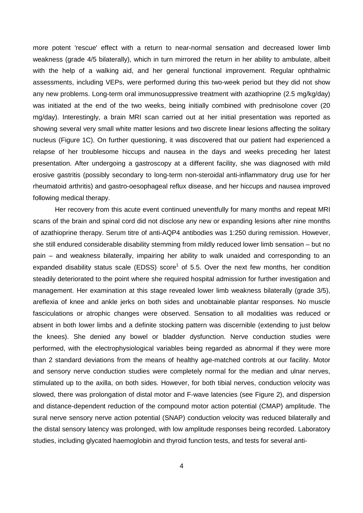more potent 'rescue' effect with a return to near-normal sensation and decreased lower limb weakness (grade 4/5 bilaterally), which in turn mirrored the return in her ability to ambulate, albeit with the help of a walking aid, and her general functional improvement. Regular ophthalmic assessments, including VEPs, were performed during this two-week period but they did not show any new problems. Long-term oral immunosuppressive treatment with azathioprine (2.5 mg/kg/day) was initiated at the end of the two weeks, being initially combined with prednisolone cover (20 mg/day). Interestingly, a brain MRI scan carried out at her initial presentation was reported as showing several very small white matter lesions and two discrete linear lesions affecting the solitary nucleus (Figure 1C). On further questioning, it was discovered that our patient had experienced a relapse of her troublesome hiccups and nausea in the days and weeks preceding her latest presentation. After undergoing a gastroscopy at a different facility, she was diagnosed with mild erosive gastritis (possibly secondary to long-term non-steroidal anti-inflammatory drug use for her rheumatoid-arthritis) and gastro-oesophageal-reflux-disease, and her hiccups and nausea improved following medical therapy.

 Her recovery from this acute event continued uneventfully for many months and repeat MRI scans of the brain and spinal cord did not disclose any new or expanding lesions after nine months of azathioprine therapy. Serum titre of anti-AQP4-antibodies was 1:250 during remission. However, she still endured considerable disability stemming from mildly reduced lower limb sensation – but no pain – and weakness bilaterally, impairing her ability to walk unaided and corresponding to an expanded disability status scale (EDSS) score<sup>1</sup> of 5.5. Over the next few months, her condition steadily deteriorated to the point where she required hospital admission for further investigation and management. Her examination at this stage revealed lower limb weakness bilaterally (grade 3/5), areflexia of knee and ankle jerks on both sides and unobtainable plantar responses. No muscle fasciculations or atrophic changes were observed. Sensation to all modalities was reduced or absent in both lower limbs and a definite stocking pattern was discernible (extending to just below the knees). She denied any bowel or bladder dysfunction. Nerve conduction studies were performed, with the electrophysiological variables being regarded as abnormal if they were more than 2 standard deviations from the means of healthy age-matched controls at our facility. Motor and sensory nerve conduction studies were completely normal for the median and ulnar nerves, stimulated up to the axilla, on both sides. However, for both tibial nerves, conduction velocity was slowed, there was prolongation of distal motor and F-wave latencies (see Figure-2), and dispersion and distance-dependent reduction of the compound motor action potential (CMAP) amplitude. The sural nerve sensory nerve action potential (SNAP) conduction velocity was reduced bilaterally and the distal sensory latency was prolonged, with low amplitude responses being recorded. Laboratory studies, including glycated haemoglobin and thyroid function tests, and tests for several anti-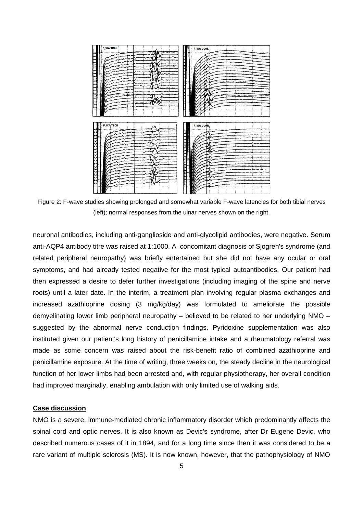

Figure 2: F-wave studies showing prolonged and somewhat variable F-wave latencies for both tibial nerves (left); normal responses from the ulnar nerves shown on the right.

neuronal antibodies, including anti-ganglioside and anti-glycolipid antibodies, were negative. Serum anti-AQP4 antibody titre was raised at 1:1000. A concomitant diagnosis of Sjogren's syndrome (and related peripheral neuropathy) was briefly entertained but she did not have any ocular or oral symptoms, and had already tested negative for the most typical autoantibodies. Our patient had then expressed a desire to defer further investigations (including imaging of the spine and nerve roots) until a later date. In the interim, a treatment plan involving regular plasma exchanges and increased azathioprine dosing (3 mg/kg/day) was formulated to ameliorate the possible demyelinating lower limb peripheral neuropathy – believed to be related to her underlying NMO – suggested by the abnormal nerve conduction findings. Pyridoxine supplementation was also instituted given our patient's long history of penicillamine intake and a rheumatology referral was made as some concern was raised about the risk-benefit ratio of combined azathioprine and penicillamine exposure. At the time of writing, three weeks on, the steady decline in the neurological function of her lower limbs had been arrested and, with regular physiotherapy, her overall condition had improved marginally, enabling ambulation with only limited use of walking aids.

#### **Case discussion**

NMO is a severe, immune-mediated chronic inflammatory disorder which predominantly affects the spinal cord and optic nerves. It is also known as Devic's syndrome, after Dr Eugene Devic, who described numerous cases of it in 1894, and for a long time since then it was considered to be a rare variant of multiple sclerosis (MS). It is now known, however, that the pathophysiology of NMO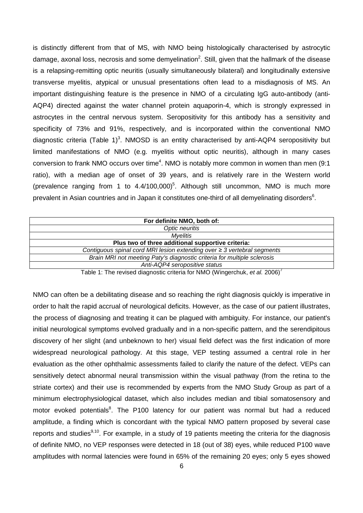is distinctly different from that of MS, with NMO being histologically characterised by astrocytic damage, axonal loss, necrosis and some demyelination<sup>2</sup>. Still, given that the hallmark of the disease is a relapsing-remitting optic neuritis (usually simultaneously bilateral) and longitudinally extensive transverse myelitis, atypical or unusual presentations often lead to a misdiagnosis of MS. An important distinguishing feature is the presence in NMO of a circulating IgG auto-antibody (anti-AQP4) directed against the water channel protein aquaporin-4, which is strongly expressed in astrocytes in the central nervous system. Seropositivity for this antibody has a sensitivity and specificity of 73% and 91%, respectively, and is incorporated within the conventional NMO diagnostic criteria (Table 1)<sup>3</sup>. NMOSD is an entity characterised by anti-AQP4 seropositivity but limited manifestations of NMO (e.g. myelitis without optic neuritis), although in many cases conversion to frank NMO occurs over time<sup>4</sup>. NMO is notably more common in women than men (9:1) ratio), with a median age of onset of 39 years, and is relatively rare in the Western world (prevalence ranging from 1 to  $4.4/100,000$ <sup>5</sup>. Although still uncommon, NMO is much more prevalent in Asian countries and in Japan it constitutes one-third of all demyelinating disorders<sup>6</sup>.

| For definite NMO, both of:                                                   |
|------------------------------------------------------------------------------|
| Optic neuritis                                                               |
| Myelitis                                                                     |
| Plus two of three additional supportive criteria:                            |
| Contiguous spinal cord MRI lesion extending over $\geq$ 3 vertebral segments |
| Brain MRI not meeting Paty's diagnostic criteria for multiple sclerosis      |
| Anti-AQP4 seropositive status                                                |

Table 1: The revised diagnostic criteria for NMO (Wingerchuk, et al. 2006)<sup>7</sup>

NMO can often be a debilitating disease and so reaching the right diagnosis quickly is imperative in order to halt the rapid accrual of neurological deficits. However, as the case of our patient illustrates, the process of diagnosing and treating it can be plagued with ambiguity. For instance, our patient's initial neurological symptoms evolved gradually and in a non-specific pattern, and the serendipitous discovery of her slight (and unbeknown to her) visual field defect was the first indication of more widespread neurological pathology. At this stage, VEP testing assumed a central role in her evaluation as the other ophthalmic assessments failed to clarify the nature of the defect. VEPs can sensitively detect abnormal neural transmission within the visual pathway (from the retina to the striate cortex) and their use is recommended by experts from the NMO Study Group as part of a minimum electrophysiological dataset, which also includes median and tibial somatosensory and motor evoked potentials<sup>8</sup>. The P100 latency for our patient was normal but had a reduced amplitude, a finding which is concordant with the typical NMO pattern proposed by several case reports and studies<sup>9,10</sup>. For example, in a study of 19 patients meeting the criteria for the diagnosis of definite NMO, no VEP responses were detected in 18 (out of 38) eyes, while reduced P100 wave amplitudes with normal latencies were found in 65% of the remaining 20 eyes; only 5 eyes showed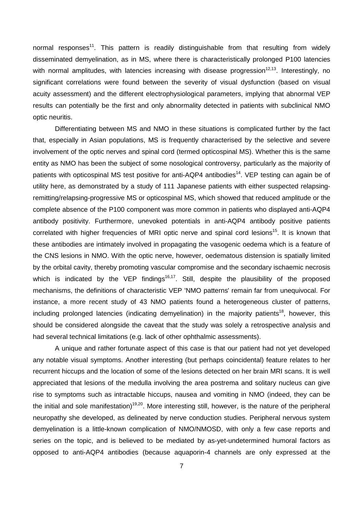normal responses<sup>11</sup>. This pattern is readily distinguishable from that resulting from widely disseminated demyelination, as in MS, where there is characteristically prolonged P100 latencies with normal amplitudes, with latencies increasing with disease progression<sup>12,13</sup>. Interestingly, no significant correlations were found between the severity of visual dysfunction (based on visual acuity assessment) and the different electrophysiological parameters, implying that abnormal VEP results can potentially be the first and only abnormality detected in patients with subclinical NMO optic neuritis.

 Differentiating between MS and NMO in these situations is complicated further by the fact that, especially in Asian populations, MS is frequently characterised by the selective and severe involvement of the optic nerves and spinal cord (termed opticospinal MS). Whether this is the same entity as NMO has been the subject of some nosological controversy, particularly as the majority of patients with opticospinal MS test positive for anti-AQP4 antibodies<sup>14</sup>. VEP testing can again be of utility here, as demonstrated by a study of 111 Japanese patients with either suspected relapsingremitting/relapsing-progressive MS or opticospinal MS, which showed that reduced amplitude or the complete absence of the P100 component was more common in patients who displayed anti-AQP4 antibody positivity. Furthermore, unevoked potentials in anti-AQP4 antibody positive patients correlated with higher frequencies of MRI optic nerve and spinal cord lesions<sup>15</sup>. It is known that these antibodies are intimately involved in propagating the vasogenic oedema which is a feature of the CNS lesions in NMO. With the optic nerve, however, oedematous distension is spatially limited by the orbital cavity, thereby promoting vascular compromise and the secondary ischaemic necrosis which is indicated by the VEP findings<sup>16,17</sup>. Still, despite the plausibility of the proposed mechanisms, the definitions of characteristic VEP 'NMO patterns' remain far from unequivocal. For instance, a more recent study of 43 NMO patients found a heterogeneous cluster of patterns, including prolonged latencies (indicating demyelination) in the majority patients<sup>18</sup>, however, this should be considered alongside the caveat that the study was solely a retrospective analysis and had several technical limitations (e.g. lack of other ophthalmic assessments).

 A unique and rather fortunate aspect of this case is that our patient had not yet developed any notable visual symptoms. Another interesting (but perhaps coincidental) feature relates to her recurrent hiccups and the location of some of the lesions detected on her brain MRI scans. It is well appreciated that lesions of the medulla involving the area postrema and solitary nucleus can give rise to symptoms such as intractable hiccups, nausea and vomiting in NMO (indeed, they can be the initial and sole manifestation)<sup>19,20</sup>. More interesting still, however, is the nature of the peripheral neuropathy she developed, as delineated by nerve conduction studies. Peripheral nervous system demyelination is a little-known complication of NMO/NMOSD, with only a few case reports and series on the topic, and is believed to be mediated by as-yet-undetermined humoral factors as opposed to anti-AQP4 antibodies (because aquaporin-4 channels are only expressed at the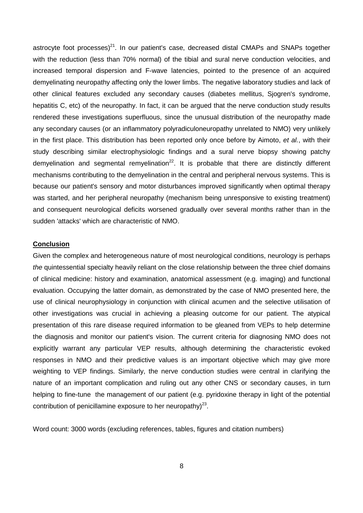astrocyte foot processes) $^{21}$ . In our patient's case, decreased distal CMAPs and SNAPs together with the reduction (less than 70% normal) of the tibial and sural nerve conduction velocities, and increased temporal dispersion and F-wave latencies, pointed to the presence of an acquired demyelinating neuropathy affecting only the lower limbs. The negative laboratory studies and lack of other clinical features excluded any secondary causes (diabetes mellitus, Sjogren's syndrome, hepatitis C, etc) of the neuropathy. In fact, it can be argued that the nerve conduction study results rendered these investigations superfluous, since the unusual distribution of the neuropathy made any secondary causes (or an inflammatory polyradiculoneuropathy unrelated to NMO) very unlikely in the first place. This distribution has been reported only once before by Aimoto, et al., with their study describing similar electrophysiologic findings and a sural nerve biopsy showing patchy demyelination and segmental remyelination<sup>22</sup>. It is probable that there are distinctly different mechanisms contributing to the demyelination in the central and peripheral nervous systems. This is because our patient's sensory and motor disturbances improved significantly when optimal therapy was started, and her peripheral neuropathy (mechanism being unresponsive to existing treatment) and consequent neurological deficits worsened gradually over several months rather than in the sudden 'attacks' which are characteristic of NMO.

#### **Conclusion**

Given the complex and heterogeneous nature of most neurological conditions, neurology is perhaps the quintessential specialty heavily reliant on the close relationship between the three chief domains of clinical medicine: history and examination, anatomical assessment (e.g. imaging) and functional evaluation. Occupying the latter domain, as demonstrated by the case of NMO presented here, the use of clinical neurophysiology in conjunction with clinical acumen and the selective utilisation of other investigations was crucial in achieving a pleasing outcome for our patient. The atypical presentation of this rare disease required information to be gleaned from VEPs to help determine the diagnosis and monitor our patient's vision. The current criteria for diagnosing NMO does not explicitly warrant any particular VEP results, although determining the characteristic evoked responses in NMO and their predictive values is an important objective which may give more weighting to VEP findings. Similarly, the nerve conduction studies were central in clarifying the nature of an important complication and ruling out any other CNS or secondary causes, in turn helping to fine-tune the management of our patient (e.g. pyridoxine therapy in light of the potential contribution of penicillamine exposure to her neuropathy) $^{23}$ .

Word count: 3000 words (excluding references, tables, figures and citation numbers)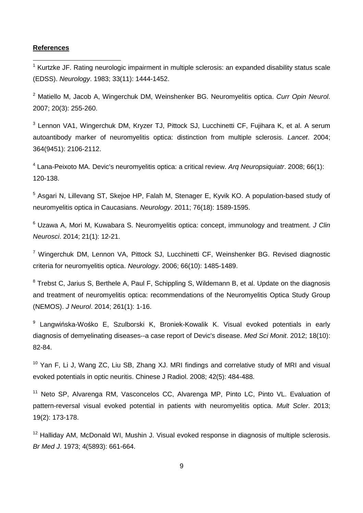#### **References**

 $\overline{a}$ 

<sup>1</sup> Kurtzke JF. Rating neurologic impairment in multiple sclerosis: an expanded disability status scale (EDSS). Neurology. 1983; 33(11): 1444-1452.

<sup>2</sup> Matiello M, Jacob A, Wingerchuk DM, Weinshenker BG. Neuromyelitis optica. Curr Opin Neurol. 2007; 20(3): 255-260.

<sup>3</sup> Lennon VA1, Wingerchuk DM, Kryzer TJ, Pittock SJ, Lucchinetti CF, Fujihara K, et al. A serum autoantibody marker of neuromyelitis optica: distinction from multiple sclerosis. Lancet. 2004; 364(9451): 2106-2112.

<sup>4</sup> Lana-Peixoto MA. Devic's neuromyelitis optica: a critical review. Arq Neuropsiquiatr. 2008; 66(1): 120-138.

<sup>5</sup> Asgari N, Lillevang ST, Skejoe HP, Falah M, Stenager E, Kyvik KO. A population-based study of neuromyelitis optica in Caucasians. Neurology. 2011; 76(18): 1589-1595.

<sup>6</sup> Uzawa A, Mori M, Kuwabara S. Neuromyelitis optica: concept, immunology and treatment. J Clin Neurosci. 2014; 21(1): 12-21.

<sup>7</sup> Wingerchuk DM, Lennon VA, Pittock SJ, Lucchinetti CF, Weinshenker BG. Revised diagnostic criteria for neuromyelitis optica. Neurology. 2006; 66(10): 1485-1489.

 $8$  Trebst C, Jarius S, Berthele A, Paul F, Schippling S, Wildemann B, et al. Update on the diagnosis and treatment of neuromyelitis optica: recommendations of the Neuromyelitis Optica Study Group (NEMOS). J Neurol. 2014; 261(1): 1-16.

<sup>9</sup> Langwińska-Wośko E, Szulborski K, Broniek-Kowalik K. Visual evoked potentials in early diagnosis of demyelinating diseases--a case report of Devic's disease. Med Sci Monit. 2012; 18(10): 82-84.

<sup>10</sup> Yan F, Li J, Wang ZC, Liu SB, Zhang XJ. MRI findings and correlative study of MRI and visual evoked potentials in optic neuritis. Chinese J Radiol. 2008; 42(5): 484-488.

<sup>11</sup> Neto SP. Alvarenga RM, Vasconcelos CC, Alvarenga MP, Pinto LC, Pinto VL. Evaluation of pattern-reversal visual evoked potential in patients with neuromyelitis optica. Mult Scler. 2013; 19(2): 173-178.

 $12$  Halliday AM, McDonald WI, Mushin J. Visual evoked response in diagnosis of multiple sclerosis. Br Med J. 1973; 4(5893): 661-664.